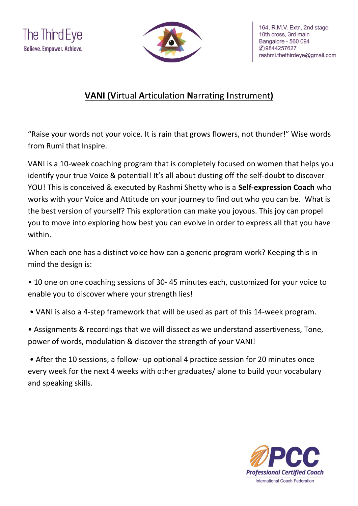



## **VANI (V**irtual **A**rticulation **N**arrating **I**nstrument**)**

"Raise your words not your voice. It is rain that grows flowers, not thunder!" Wise words from Rumi that Inspire.

VANI is a 10-week coaching program that is completely focused on women that helps you identify your true Voice & potential! It's all about dusting off the self-doubt to discover YOU! This is conceived & executed by Rashmi Shetty who is a **Self-expression Coach** who works with your Voice and Attitude on your journey to find out who you can be. What is the best version of yourself? This exploration can make you joyous. This joy can propel you to move into exploring how best you can evolve in order to express all that you have within.

When each one has a distinct voice how can a generic program work? Keeping this in mind the design is:

- 10 one on one coaching sessions of 30- 45 minutes each, customized for your voice to enable you to discover where your strength lies!
- VANI is also a 4-step framework that will be used as part of this 14-week program.

• Assignments & recordings that we will dissect as we understand assertiveness, Tone, power of words, modulation & discover the strength of your VANI!

• After the 10 sessions, a follow- up optional 4 practice session for 20 minutes once every week for the next 4 weeks with other graduates/ alone to build your vocabulary and speaking skills.

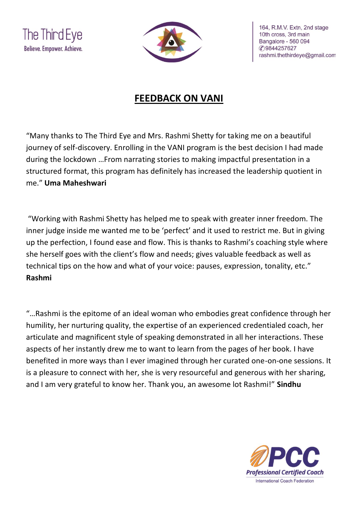



164, R.M.V. Extn, 2nd stage 10th cross, 3rd main Bangalore - 560 094 **C**9844257627 rashmi.thethirdeye@gmail.com

## **FEEDBACK ON VANI**

"Many thanks to The Third Eye and Mrs. Rashmi Shetty for taking me on a beautiful journey of self-discovery. Enrolling in the VANI program is the best decision I had made during the lockdown …From narrating stories to making impactful presentation in a structured format, this program has definitely has increased the leadership quotient in me." **Uma Maheshwari**

"Working with Rashmi Shetty has helped me to speak with greater inner freedom. The inner judge inside me wanted me to be 'perfect' and it used to restrict me. But in giving up the perfection, I found ease and flow. This is thanks to Rashmi's coaching style where she herself goes with the client's flow and needs; gives valuable feedback as well as technical tips on the how and what of your voice: pauses, expression, tonality, etc." **Rashmi** 

"…Rashmi is the epitome of an ideal woman who embodies great confidence through her humility, her nurturing quality, the expertise of an experienced credentialed coach, her articulate and magnificent style of speaking demonstrated in all her interactions. These aspects of her instantly drew me to want to learn from the pages of her book. I have benefited in more ways than I ever imagined through her curated one-on-one sessions. It is a pleasure to connect with her, she is very resourceful and generous with her sharing, and I am very grateful to know her. Thank you, an awesome lot Rashmi!" **Sindhu**